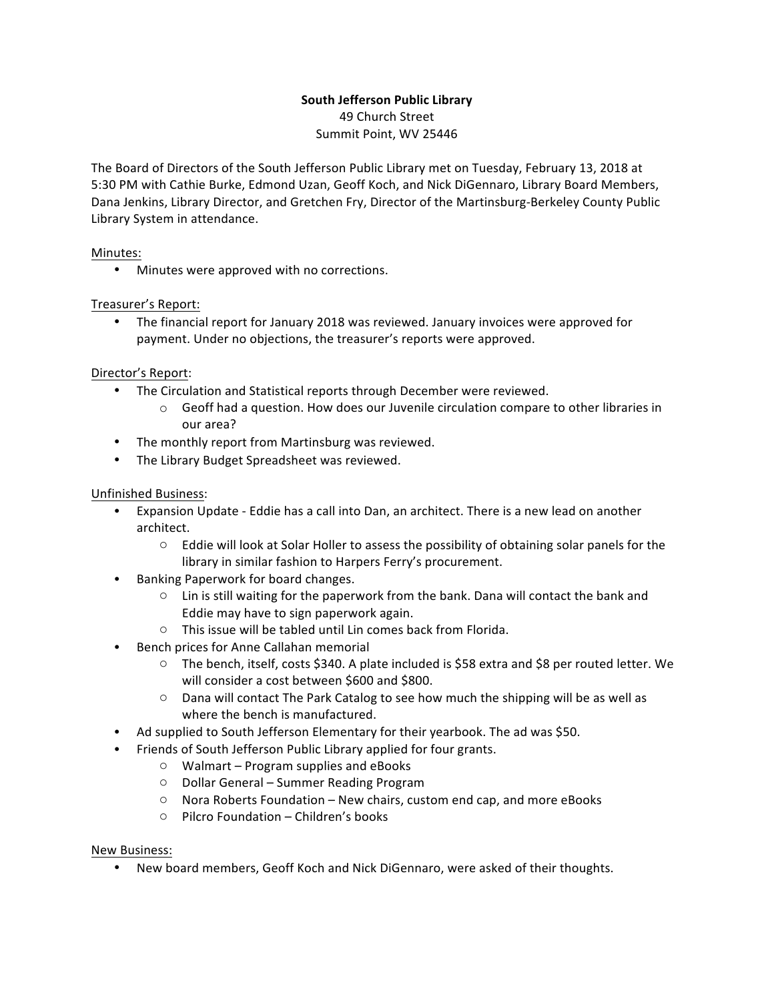# **South Jefferson Public Library**

49 Church Street Summit Point, WV 25446

The Board of Directors of the South Jefferson Public Library met on Tuesday, February 13, 2018 at 5:30 PM with Cathie Burke, Edmond Uzan, Geoff Koch, and Nick DiGennaro, Library Board Members, Dana Jenkins, Library Director, and Gretchen Fry, Director of the Martinsburg-Berkeley County Public Library System in attendance.

## Minutes:

• Minutes were approved with no corrections.

## Treasurer's Report:

• The financial report for January 2018 was reviewed. January invoices were approved for payment. Under no objections, the treasurer's reports were approved.

#### Director's Report:

- The Circulation and Statistical reports through December were reviewed.
	- $\circ$  Geoff had a question. How does our Juvenile circulation compare to other libraries in our area?
- The monthly report from Martinsburg was reviewed.
- The Library Budget Spreadsheet was reviewed.

## Unfinished Business:

- Expansion Update Eddie has a call into Dan, an architect. There is a new lead on another architect.
	- $\circ$  Eddie will look at Solar Holler to assess the possibility of obtaining solar panels for the library in similar fashion to Harpers Ferry's procurement.
- Banking Paperwork for board changes.
	- $\circ$  Lin is still waiting for the paperwork from the bank. Dana will contact the bank and Eddie may have to sign paperwork again.
	- $\circ$  This issue will be tabled until Lin comes back from Florida.
- Bench prices for Anne Callahan memorial
	- $\circ$  The bench, itself, costs \$340. A plate included is \$58 extra and \$8 per routed letter. We will consider a cost between \$600 and \$800.
	- $\circ$  Dana will contact The Park Catalog to see how much the shipping will be as well as where the bench is manufactured.
- Ad supplied to South Jefferson Elementary for their yearbook. The ad was \$50.
	- Friends of South Jefferson Public Library applied for four grants.
		- $\circ$  Walmart Program supplies and eBooks
		- $\circ$  Dollar General Summer Reading Program
		- $\circ$  Nora Roberts Foundation New chairs, custom end cap, and more eBooks
		- $\circ$  Pilcro Foundation Children's books

#### New Business:

• New board members, Geoff Koch and Nick DiGennaro, were asked of their thoughts.